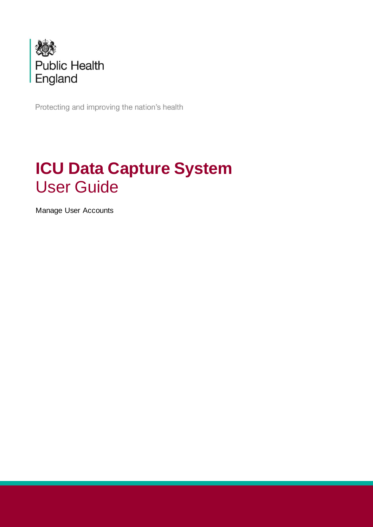

Protecting and improving the nation's health

# **ICU Data Capture System** User Guide

Manage User Accounts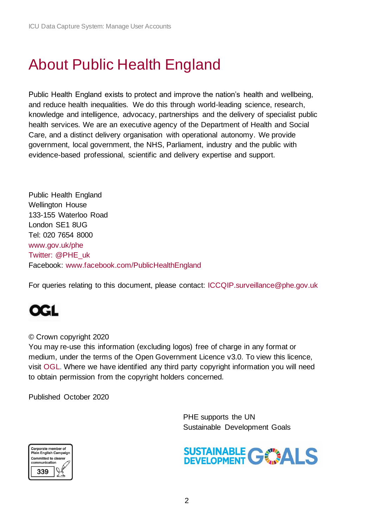# <span id="page-1-0"></span>About Public Health England

Public Health England exists to protect and improve the nation's health and wellbeing, and reduce health inequalities. We do this through world-leading science, research, knowledge and intelligence, advocacy, partnerships and the delivery of specialist public health services. We are an executive agency of the Department of Health and Social Care, and a distinct delivery organisation with operational autonomy. We provide government, local government, the NHS, Parliament, industry and the public with evidence-based professional, scientific and delivery expertise and support.

Public Health England Wellington House 133-155 Waterloo Road London SE1 8UG Tel: 020 7654 8000 [www.gov.uk/phe](http://www.gov.uk/phe) Twitter: [@PHE\\_uk](https://twitter.com/PHE_uk) Facebook: [www.facebook.com/PublicHealthEngland](http://www.facebook.com/PublicHealthEngland)

For queries relating to this document, please contact: [ICCQIP.surveillance@phe.gov.uk](mailto:ICCQIP.surveillance@phe.gov.uk)

## QGL

#### © Crown copyright 2020

You may re-use this information (excluding logos) free of charge in any format or medium, under the terms of the Open Government Licence v3.0. To view this licence, visit [OGL.](https://www.nationalarchives.gov.uk/doc/open-government-licence/version/3/) Where we have identified any third party copyright information you will need to obtain permission from the copyright holders concerned.

Published October 2020



 PHE supports the UN Sustainable Development Goals

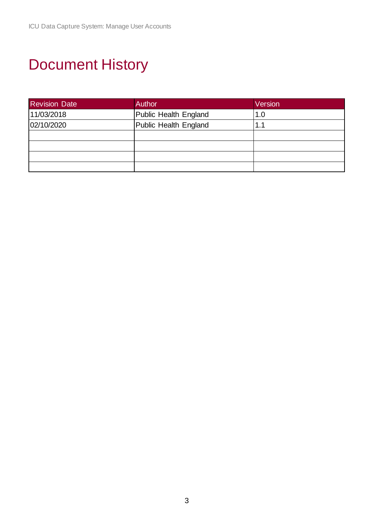# <span id="page-2-0"></span>Document History

| <b>Revision Date</b> | Author                | Version |
|----------------------|-----------------------|---------|
| 11/03/2018           | Public Health England | 1.0     |
| 02/10/2020           | Public Health England | 1.1     |
|                      |                       |         |
|                      |                       |         |
|                      |                       |         |
|                      |                       |         |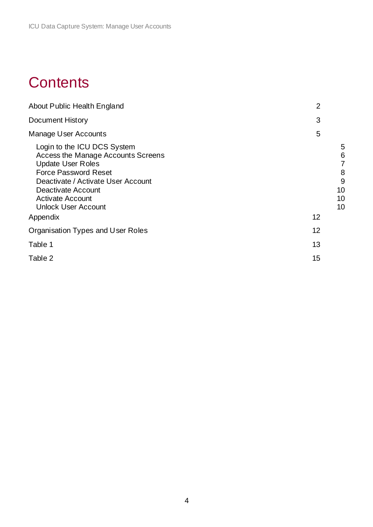## **Contents**

| About Public Health England                                                                                                                                                                                                                                   | $\overline{2}$                                |
|---------------------------------------------------------------------------------------------------------------------------------------------------------------------------------------------------------------------------------------------------------------|-----------------------------------------------|
| <b>Document History</b>                                                                                                                                                                                                                                       | 3                                             |
| <b>Manage User Accounts</b>                                                                                                                                                                                                                                   | 5                                             |
| Login to the ICU DCS System<br>Access the Manage Accounts Screens<br><b>Update User Roles</b><br><b>Force Password Reset</b><br>Deactivate / Activate User Account<br>Deactivate Account<br><b>Activate Account</b><br><b>Unlock User Account</b><br>Appendix | 5<br>6<br>7<br>8<br>9<br>10<br>10<br>10<br>12 |
| Organisation Types and User Roles                                                                                                                                                                                                                             | 12                                            |
| Table 1                                                                                                                                                                                                                                                       | 13                                            |
| Table 2                                                                                                                                                                                                                                                       | 15                                            |
|                                                                                                                                                                                                                                                               |                                               |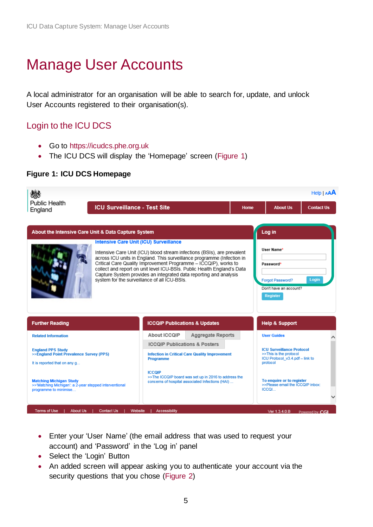# <span id="page-4-0"></span>Manage User Accounts

A local administrator for an organisation will be able to search for, update, and unlock User Accounts registered to their organisation(s).

## <span id="page-4-1"></span>Login to the ICU DCS

- Go to [https://icudcs.phe.org.uk](https://icudcs.phe.org.uk/)
- The ICU DCS will display the 'Homepage' screen [\(Figure 1\)](#page-4-2)

#### <span id="page-4-2"></span>**Figure 1: ICU DCS Homepage**



- Enter your 'User Name' (the email address that was used to request your account) and 'Password' in the 'Log in' panel
- Select the 'Login' Button
- An added screen will appear asking you to authenticate your account via the security questions that you chose [\(Figure 2\)](#page-5-1)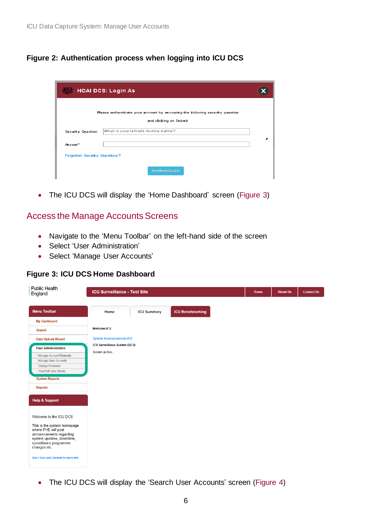#### <span id="page-5-1"></span>**Figure 2: Authentication process when logging into ICU DCS**

| <b>HCAI DCS: Login As</b>     |                                                                                                         |  |  |  |
|-------------------------------|---------------------------------------------------------------------------------------------------------|--|--|--|
|                               | Please authenticate your account by answering the following security question<br>and clicking on Submit |  |  |  |
| Security Question             | What is your father's middle name?                                                                      |  |  |  |
| Answer <sup>x</sup>           |                                                                                                         |  |  |  |
| Forgotten Security Questions? |                                                                                                         |  |  |  |
|                               | <b>Authenticate</b>                                                                                     |  |  |  |

• The ICU DCS will display the 'Home Dashboard' screen [\(Figure 3\)](#page-5-2)

### <span id="page-5-0"></span>Access the Manage Accounts Screens

- Navigate to the 'Menu Toolbar' on the left-hand side of the screen
- Select 'User Administration'
- Select 'Manage User Accounts'

#### <span id="page-5-2"></span>**Figure 3: ICU DCS Home Dashboard**

|             |                    |                                                                                                         | Home | <b>About Us</b> | <b>Contact Us</b> |
|-------------|--------------------|---------------------------------------------------------------------------------------------------------|------|-----------------|-------------------|
| Home        | <b>ICU Summary</b> | <b>ICU Benchmarking</b>                                                                                 |      |                 |                   |
|             |                    |                                                                                                         |      |                 |                   |
| Welcome-ICU |                    |                                                                                                         |      |                 |                   |
|             |                    |                                                                                                         |      |                 |                   |
|             |                    |                                                                                                         |      |                 |                   |
|             |                    |                                                                                                         |      |                 |                   |
|             |                    |                                                                                                         |      |                 |                   |
|             |                    |                                                                                                         |      |                 |                   |
|             |                    |                                                                                                         |      |                 |                   |
|             |                    |                                                                                                         |      |                 |                   |
|             |                    |                                                                                                         |      |                 |                   |
|             |                    |                                                                                                         |      |                 |                   |
|             |                    |                                                                                                         |      |                 |                   |
|             |                    |                                                                                                         |      |                 |                   |
|             | System go live     | <b>ICU Surveillance - Test Site</b><br><b>System Announcements-ICU</b><br>ICU Surveillance System (DCS) |      |                 |                   |

• The ICU DCS will display the 'Search User Accounts' screen [\(Figure 4\)](#page-6-1)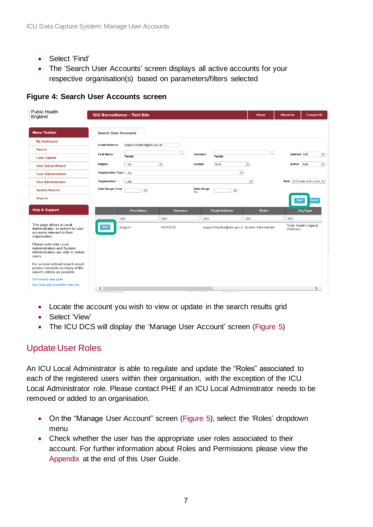- Select 'Find'
- The 'Search User Accounts' screen displays all active accounts for your respective organisation(s) based on parameters/filters selected

<span id="page-6-1"></span>

| <b>Public Health</b><br>England                                                                             | <b>ICU Surveillance - Test Site</b>                |                                                                         | Home                     | <b>Contact Us</b><br><b>About Us</b> |
|-------------------------------------------------------------------------------------------------------------|----------------------------------------------------|-------------------------------------------------------------------------|--------------------------|--------------------------------------|
| Menu Toolbar                                                                                                | <b>Search User Accounts</b>                        |                                                                         |                          |                                      |
| <b>My Dashboard</b>                                                                                         | <b>Email Address</b><br>support.hcaidcs@phe.gov.uk |                                                                         |                          |                                      |
| <b>Search</b>                                                                                               | <b>First Name</b>                                  |                                                                         | □                        | Deleted Both                         |
| <b>Case Capture</b>                                                                                         | Partial                                            | Surname<br>Partial                                                      |                          | $\blacktriangledown$                 |
| <b>Data Upload Wizard</b>                                                                                   | $\blacktriangledown$<br>Region<br>$-A  -$          | Locked<br>Both                                                          | $\blacktriangledown$     | Active Both<br>$\blacktriangledown$  |
| <b>Case Administration</b>                                                                                  | Organisation Type -- All--                         |                                                                         | $\overline{\phantom{a}}$ |                                      |
| <b>User Administration</b>                                                                                  | Organisation<br>$-A$ ll--                          |                                                                         | $\blacktriangledown$     | Role CCG Data Entry, Data            |
| <b>System Reports</b>                                                                                       | Date Range From<br>圃                               | Date Range<br>圃<br>To                                                   |                          |                                      |
| <b>Reports</b>                                                                                              |                                                    |                                                                         |                          | <b>Reset</b><br>Find                 |
| <b>Help &amp; Support</b>                                                                                   | <b>First Name</b>                                  | <b>Email Address</b><br><b>Surname</b>                                  | <b>Roles</b>             | Org Type                             |
|                                                                                                             | (A  )<br>(A  )                                     | (A  )                                                                   | (A  )                    | (AII)                                |
| This page allows a Local<br>Administrator to search for user<br>accounts relevant to their<br>organisation. | View<br>Support                                    | <b>HCAIDCS</b><br>support.hcaidcs@phe.gov.ul System Administrator       |                          | Public Health England<br>(National)  |
| Please note only Local<br>Administrators and System<br>Administrators are able to delete<br>users.          |                                                    |                                                                         |                          |                                      |
| For a more refined search result<br>please complete as many of the<br>search criteria as possible           |                                                    |                                                                         |                          |                                      |
| Click here to view guide<br>See FAQs and Content for more info                                              |                                                    |                                                                         |                          |                                      |
|                                                                                                             | ◁<br>$\sim$ $\sim$ $\sim$ $\sim$                   | <b>Contract</b><br>$\overline{a}$<br>$\sim$<br>$\overline{\phantom{a}}$ |                          | $\rightarrow$                        |

- Locate the account you wish to view or update in the search results grid
- Select 'View'
- The ICU DCS will display the 'Manage User Account' screen [\(Figure 5\)](#page-6-2)

### <span id="page-6-0"></span>Update User Roles

An ICU Local Administrator is able to regulate and update the "Roles" associated to each of the registered users within their organisation, with the exception of the ICU Local Administrator role. Please contact PHE if an ICU Local Administrator needs to be removed or added to an organisation.

- On the "Manage User Account" screen [\(Figure 5\)](#page-6-2), select the 'Roles' dropdown menu
- <span id="page-6-2"></span>• Check whether the user has the appropriate user roles associated to their account. For further information about Roles and Permissions please view the [Appendix](#page-11-0) at the end of this User Guide.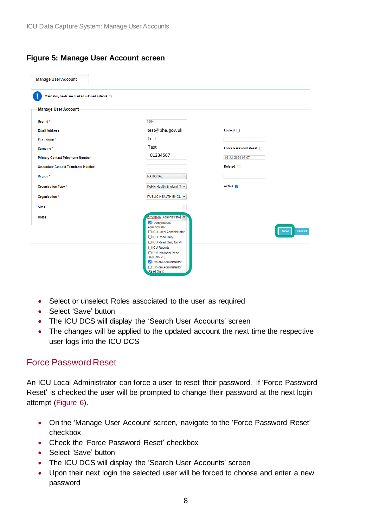#### **Figure 5: Manage User Account screen**

| <b>Manage User Account</b>                        |                                                                             |                      |
|---------------------------------------------------|-----------------------------------------------------------------------------|----------------------|
| Mandatory fields are marked with red asterisk (*) |                                                                             |                      |
| Manage User Account                               |                                                                             |                      |
| User Id*                                          | 1964                                                                        |                      |
| Email Address *                                   | test@phe.gov.uk                                                             | Locked $\Box$        |
| First Name*                                       | Test                                                                        |                      |
| Surname*                                          | Test                                                                        | Force Password Reset |
| <b>Primary Contact Telephone Number</b>           | 01234567                                                                    | 16-Jul-2020 07:07    |
| <b>Secondary Contact Telephone Number</b>         |                                                                             | <b>Deleted</b>       |
| Region *                                          | <b>NATIONAL</b>                                                             |                      |
| Organisation Type *                               | Public Health England (N ▼                                                  | Active <b>7</b>      |
| Organisation *                                    | PUBLIC HEALTH ENGL.<br>$\overline{\phantom{a}}$                             |                      |
| Sites*                                            |                                                                             |                      |
| Roles*                                            | <b>Or System Administrator</b><br>Configuration<br>Administrator            |                      |
|                                                   | □ ICU Local Administrator                                                   | Cancel<br>Save       |
|                                                   | □ ICU Read Only<br>□ ICU Read Only No PII                                   |                      |
|                                                   | □ ICU Reports<br>PHE National Read<br>Only (No PII)<br>System Administrator |                      |
|                                                   | System Administrator<br>(Read Only)                                         |                      |

- Select or unselect Roles associated to the user as required
- Select 'Save' button
- The ICU DCS will display the 'Search User Accounts' screen
- The changes will be applied to the updated account the next time the respective user logs into the ICU DCS

### <span id="page-7-0"></span>Force Password Reset

An ICU Local Administrator can force a user to reset their password. If 'Force Password Reset' is checked the user will be prompted to change their password at the next login attempt [\(Figure 6\)](#page-8-1).

- On the 'Manage User Account' screen, navigate to the 'Force Password Reset' checkbox
- Check the 'Force Password Reset' checkbox
- Select 'Save' button
- The ICU DCS will display the 'Search User Accounts' screen
- Upon their next login the selected user will be forced to choose and enter a new password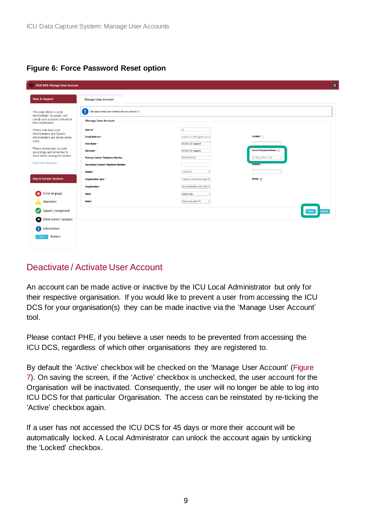#### <span id="page-8-1"></span>**Figure 6: Force Password Reset option**

| <b>HCAI DCS: Manage User Account</b>                           |                                                   |                            | $\alpha$              |
|----------------------------------------------------------------|---------------------------------------------------|----------------------------|-----------------------|
| Help & Support                                                 | Manage User Account                               |                            |                       |
| This page allows a Local<br>Administrator to update, and       | Mandatory fields are marked with red asterisk (*) |                            |                       |
| unlock user accounts relevant to<br>their organisation.        | Manage User Account                               |                            |                       |
| Please note only Local                                         | User Id*                                          | 33                         |                       |
| Administrators and System<br>Administrators are able to delete | Email Address *                                   | support.hcaidcs@phe.gov.ul | Locked                |
| users.                                                         | First Name*                                       | <b>HCAI DCS Support</b>    |                       |
| Please amend user account<br>accordingly and remember to       | Surname*                                          | <b>HCAI DCS Support</b>    | Force Password Reset  |
| Save before closing the window.                                | Primary Contact Telephone Number                  | 99999999999                | 21-Sep-2015 11:09     |
| Click here to view guide                                       | Secondary Contact Telephone Number                |                            | <b>Deleted</b>        |
|                                                                | Region*                                           | <b>LONDON</b>              |                       |
| <b>Key to Screen Symbols</b>                                   | Organisation Type *                               | Clinical Commissioning C   | Active V              |
|                                                                | Organisation *                                    | NHS BARKING AND DAGIY      |                       |
| Error on page                                                  | Sites*                                            | Select Site<br>٠           |                       |
| Attention                                                      | Roles*                                            | Read Only (No PII)<br>۰    |                       |
| Saved / completed                                              |                                                   |                            | <b>Save</b><br>Cancel |
| Close sceen / popout                                           |                                                   |                            |                       |
| nformation                                                     |                                                   |                            |                       |
| Button<br>Text                                                 |                                                   |                            |                       |

## <span id="page-8-0"></span>Deactivate / Activate User Account

An account can be made active or inactive by the ICU Local Administrator but only for their respective organisation. If you would like to prevent a user from accessing the ICU DCS for your organisation(s) they can be made inactive via the 'Manage User Account' tool.

Please contact PHE, if you believe a user needs to be prevented from accessing the ICU DCS, regardless of which other organisations they are registered to.

By default the 'Active' checkbox will be checked on the 'Manage User Account' [\(Figure](#page-9-3)  [7\)](#page-9-3). On saving the screen, if the 'Active' checkbox is unchecked, the user account for the Organisation will be inactivated. Consequently, the user will no longer be able to log into ICU DCS for that particular Organisation. The access can be reinstated by re-ticking the 'Active' checkbox again.

If a user has not accessed the ICU DCS for 45 days or more their account will be automatically locked. A Local Administrator can unlock the account again by unticking the 'Locked' checkbox.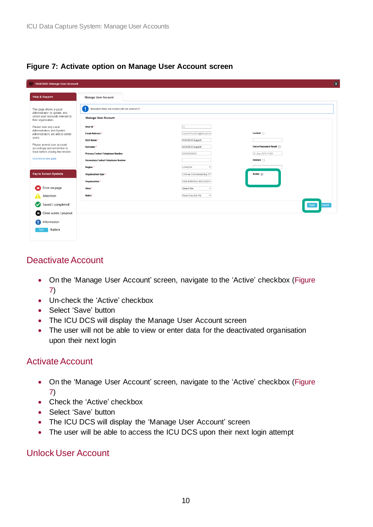#### <span id="page-9-3"></span>**Figure 7: Activate option on Manage User Account screen**

| <b>HCAI DCS: Manage User Account</b>                     |                                                        |                               |                       |
|----------------------------------------------------------|--------------------------------------------------------|-------------------------------|-----------------------|
| <b>Help &amp; Support</b>                                | Manage User Account                                    |                               |                       |
| This page allows a Local<br>Administrator to update, and | U<br>Mandatory fields are marked with red asterisk (*) |                               |                       |
| unlock user accounts relevant to<br>their organisation.  | <b>Manage User Account</b>                             |                               |                       |
| Please note only Local<br>Administrators and System      | User Id *                                              | 33                            |                       |
| Administrators are able to delete                        | Email Address*                                         | support.hcaidcs@phe.gov.ul    | Locked                |
| users.                                                   | First Name*                                            | <b>HCAI DCS Support</b>       |                       |
| Please amend user account<br>accordingly and remember to | Surname*                                               | <b>HCAI DCS Support</b>       | Force Password Reset  |
| Save before closing the window.                          | Primary Contact Telephone Number                       | 99999999999                   | 21-Sep-2015 11:09     |
| Click here to view guide                                 | Secondary Contact Telephone Number                     |                               | Deleted <sub>II</sub> |
|                                                          | Region *                                               | LONDON<br>٠                   |                       |
| <b>Key to Screen Symbols</b>                             | Organisation Type *                                    | Clinical Commissioning C      | Active $\nabla$       |
|                                                          | Organisation *                                         | NHS BARKING AND DAGI *        |                       |
| Error on page                                            | Sites*                                                 | Select Site<br>$\;$           |                       |
| Attention                                                | Roles*                                                 | Read Only (No PII)<br>$\star$ |                       |
| Saved / completed                                        |                                                        |                               | Cancel<br>Save        |
| ☎<br>Close sceen / popout                                |                                                        |                               |                       |
| nformation                                               |                                                        |                               |                       |
| Button<br>Text                                           |                                                        |                               |                       |

## <span id="page-9-0"></span>Deactivate Account

- On the 'Manage User Account' screen, navigate to the 'Active' checkbox (Figure [7\)](#page-9-3)
- Un-check the 'Active' checkbox
- Select 'Save' button
- The ICU DCS will display the Manage User Account screen
- The user will not be able to view or enter data for the deactivated organisation upon their next login

### <span id="page-9-1"></span>Activate Account

- On the 'Manage User Account' screen, navigate to the 'Active' checkbox (Figure [7\)](#page-9-3)
- Check the 'Active' checkbox
- Select 'Save' button
- The ICU DCS will display the 'Manage User Account' screen
- The user will be able to access the ICU DCS upon their next login attempt

### <span id="page-9-2"></span>Unlock User Account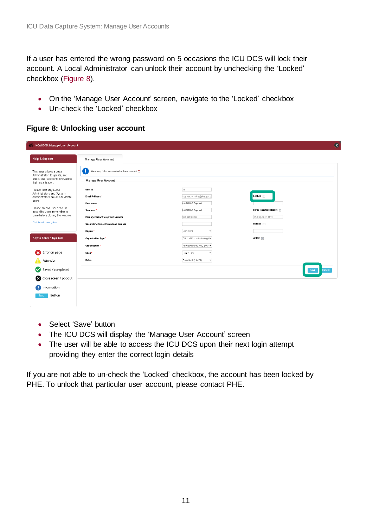If a user has entered the wrong password on 5 occasions the ICU DCS will lock their account. A Local Administrator can unlock their account by unchecking the 'Locked' checkbox [\(Figure 8\)](#page-10-0).

- On the 'Manage User Account' screen, navigate to the 'Locked' checkbox
- Un-check the 'Locked' checkbox

<span id="page-10-0"></span>**Figure 8: Unlocking user account**

| <b>HCAI DCS: Manage User Account</b>                           |                                                        |                                         | $\alpha$             |
|----------------------------------------------------------------|--------------------------------------------------------|-----------------------------------------|----------------------|
| Help & Support                                                 | Manage User Account                                    |                                         |                      |
| This page allows a Local<br>Administrator to update, and       | ı<br>Mandatory fields are marked with red asterisk (*) |                                         |                      |
| unlock user accounts relevant to<br>their organisation.        | Manage User Account                                    |                                         |                      |
| Please note only Local                                         | User Id *                                              | 33                                      |                      |
| Administrators and System<br>Administrators are able to delete | Email Address*                                         | support.hcaidcs@phe.gov.ul              | Locked <b>I</b>      |
| users.                                                         | First Name*                                            | <b>HCAI DCS Support</b>                 |                      |
| Please amend user account<br>accordingly and remember to       | Surname*                                               | <b>HCAI DCS Support</b>                 | Force Password Reset |
| Save before closing the window.                                | Primary Contact Telephone Number                       | 99999999999                             | 21-Sep-2015 11:09    |
| Click here to view guide                                       | Secondary Contact Telephone Number                     |                                         | Deleted <sub>1</sub> |
|                                                                | Region <sup>*</sup>                                    | LONDON                                  |                      |
| <b>Key to Screen Symbols</b>                                   | Organisation Type *                                    | Clinical Commissioning C                | Active $ \nabla $    |
|                                                                | Organisation *                                         | NHS BARKING AND DAGIT                   |                      |
| Error on page<br>×                                             | Sites*                                                 | Select Site<br>$\overline{\phantom{a}}$ |                      |
| Attention                                                      | Roles*                                                 | Read Only (No PII)<br>$\star$           |                      |
| Saved / completed                                              |                                                        |                                         | Cancel<br>Save       |
| ⊠<br>Close sceen / popout                                      |                                                        |                                         |                      |
| nformation                                                     |                                                        |                                         |                      |
| Button<br>Text                                                 |                                                        |                                         |                      |

- Select 'Save' button
- The ICU DCS will display the 'Manage User Account' screen
- The user will be able to access the ICU DCS upon their next login attempt providing they enter the correct login details

If you are not able to un-check the 'Locked' checkbox, the account has been locked by PHE. To unlock that particular user account, please contact PHE.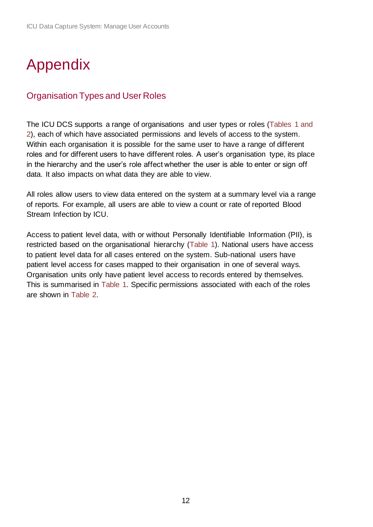# <span id="page-11-0"></span>Appendix

## <span id="page-11-1"></span>Organisation Types and User Roles

The ICU DCS supports a range of organisations and user types or roles (Tables 1 and 2), each of which have associated permissions and levels of access to the system. Within each organisation it is possible for the same user to have a range of different roles and for different users to have different roles. A user's organisation type, its place in the hierarchy and the user's role affect whether the user is able to enter or sign off data. It also impacts on what data they are able to view.

All roles allow users to view data entered on the system at a summary level via a range of reports. For example, all users are able to view a count or rate of reported Blood Stream Infection by ICU.

Access to patient level data, with or without Personally Identifiable Information (PII), is restricted based on the organisational hierarchy (Table 1). National users have access to patient level data for all cases entered on the system. Sub-national users have patient level access for cases mapped to their organisation in one of several ways. Organisation units only have patient level access to records entered by themselves. This is summarised in Table 1. Specific permissions associated with each of the roles are shown in Table 2.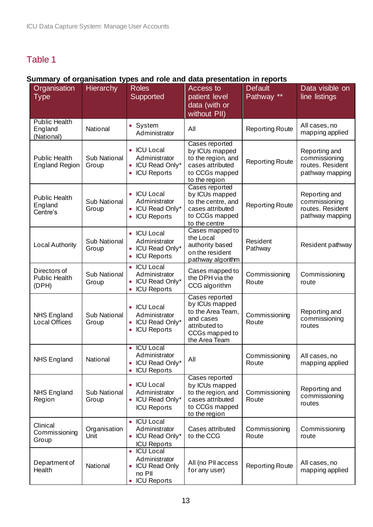## <span id="page-12-0"></span>Table 1

### **Summary of organisation types and role and data presentation in reports**

| Organisation<br><b>Type</b>                   | Hierarchy             | <b>Roles</b><br>Supported                                                                                | <b>Access to</b><br>patient level<br>data (with or<br>without PII)                                                     | <b>Default</b><br>Pathway ** | Data visible on<br>line listings                                      |
|-----------------------------------------------|-----------------------|----------------------------------------------------------------------------------------------------------|------------------------------------------------------------------------------------------------------------------------|------------------------------|-----------------------------------------------------------------------|
| <b>Public Health</b><br>England<br>(National) | National              | • System<br>Administrator                                                                                | All                                                                                                                    | <b>Reporting Route</b>       | All cases, no<br>mapping applied                                      |
| <b>Public Health</b><br><b>England Region</b> | Sub National<br>Group | • ICU Local<br>Administrator<br>ICU Read Only*<br><b>ICU Reports</b><br>$\bullet$                        | Cases reported<br>by ICUs mapped<br>to the region, and<br>cases attributed<br>to CCGs mapped<br>to the region          | <b>Reporting Route</b>       | Reporting and<br>commissioning<br>routes. Resident<br>pathway mapping |
| <b>Public Health</b><br>England<br>Centre's   | Sub National<br>Group | <b>ICU Local</b><br>$\bullet$<br>Administrator<br>ICU Read Only*<br>$\bullet$<br><b>ICU Reports</b>      | Cases reported<br>by ICUs mapped<br>to the centre, and<br>cases attributed<br>to CCGs mapped<br>to the centre          | <b>Reporting Route</b>       | Reporting and<br>commissioning<br>routes. Resident<br>pathway mapping |
| Local Authority                               | Sub National<br>Group | • ICU Local<br>Administrator<br>ICU Read Only*<br><b>ICU Reports</b><br>$\bullet$                        | Cases mapped to<br>the Local<br>authority based<br>on the resident<br>pathway algorithm                                | Resident<br>Pathway          | Resident pathway                                                      |
| Directors of<br><b>Public Health</b><br>(DPH) | Sub National<br>Group | <b>ICU Local</b><br>$\bullet$<br>Administrator<br>ICU Read Only*<br><b>ICU Reports</b>                   | Cases mapped to<br>the DPH via the<br>CCG algorithm                                                                    | Commissioning<br>Route       | Commissioning<br>route                                                |
| <b>NHS England</b><br><b>Local Offices</b>    | Sub National<br>Group | • ICU Local<br>Administrator<br>• ICU Read Only*<br><b>ICU Reports</b><br>$\bullet$                      | Cases reported<br>by ICUs mapped<br>to the Area Team,<br>and cases<br>attributed to<br>CCGs mapped to<br>the Area Team | Commissioning<br>Route       | Reporting and<br>commissioning<br>routes                              |
| <b>NHS England</b>                            | National              | <b>ICU Local</b><br>$\bullet$<br>Administrator<br>ICU Read Only*<br>۰<br><b>ICU Reports</b><br>$\bullet$ | All                                                                                                                    | Commissioning<br>Route       | All cases, no<br>mapping applied                                      |
| <b>NHS England</b><br>Region                  | Sub National<br>Group | <b>ICU Local</b><br>Administrator<br>• ICU Read Only*<br><b>ICU Reports</b>                              | Cases reported<br>by ICUs mapped<br>to the region, and<br>cases attributed<br>to CCGs mapped<br>to the region          | Commissioning<br>Route       | Reporting and<br>commissioning<br>routes                              |
| Clinical<br>Commissioning<br>Group            | Organisation<br>Unit  | • ICU Local<br>Administrator<br><b>ICU Read Only*</b><br><b>ICU Reports</b>                              | Cases attributed<br>to the CCG                                                                                         | Commissioning<br>Route       | Commissioning<br>route                                                |
| Department of<br>Health                       | National              | <b>ICU Local</b><br>$\bullet$<br>Administrator<br><b>ICU Read Only</b><br>no PII<br><b>ICU Reports</b>   | All (no PII access<br>for any user)                                                                                    | <b>Reporting Route</b>       | All cases, no<br>mapping applied                                      |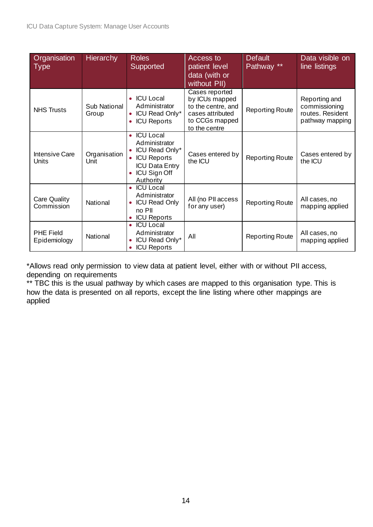| Organisation<br><b>Type</b>      | <b>Hierarchy</b>      | <b>Roles</b><br>Supported                                                                                                                                | Access to<br>patient level<br>data (with or<br>without PII)                                                   | <b>Default</b><br>Pathway ** | Data visible on<br>line listings                                      |
|----------------------------------|-----------------------|----------------------------------------------------------------------------------------------------------------------------------------------------------|---------------------------------------------------------------------------------------------------------------|------------------------------|-----------------------------------------------------------------------|
| <b>NHS Trusts</b>                | Sub National<br>Group | • ICU Local<br>Administrator<br>ICU Read Only*<br><b>ICU Reports</b>                                                                                     | Cases reported<br>by ICUs mapped<br>to the centre, and<br>cases attributed<br>to CCGs mapped<br>to the centre | <b>Reporting Route</b>       | Reporting and<br>commissioning<br>routes. Resident<br>pathway mapping |
| <b>Intensive Care</b><br>Units   | Organisation<br>Unit  | <b>ICU Local</b><br>۰<br>Administrator<br>ICU Read Only*<br><b>ICU Reports</b><br>$\bullet$<br><b>ICU Data Entry</b><br><b>ICU Sign Off</b><br>Authority | Cases entered by<br>the ICU                                                                                   | <b>Reporting Route</b>       | Cases entered by<br>the ICU                                           |
| Care Quality<br>Commission       | National              | <b>ICU Local</b><br>Administrator<br><b>ICU Read Only</b><br>$\bullet$<br>no PII<br><b>ICU Reports</b>                                                   | All (no PII access<br>for any user)                                                                           | <b>Reporting Route</b>       | All cases, no<br>mapping applied                                      |
| <b>PHE Field</b><br>Epidemiology | National              | <b>ICU Local</b><br>٠<br>Administrator<br>ICU Read Only*<br><b>ICU Reports</b>                                                                           | All                                                                                                           | <b>Reporting Route</b>       | All cases, no<br>mapping applied                                      |

\*Allows read only permission to view data at patient level, either with or without PII access, depending on requirements

\*\* TBC this is the usual pathway by which cases are mapped to this organisation type. This is how the data is presented on all reports, except the line listing where other mappings are applied